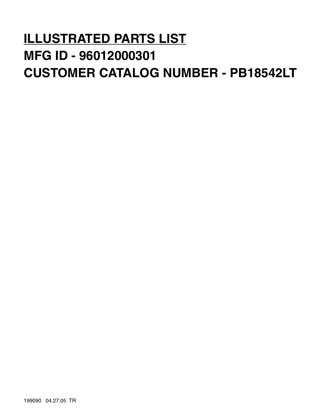# **ILLUSTRATED PARTS LIST MFG ID - 96012000301 CUSTOMER CATALOG NUMBER - PB18542LT**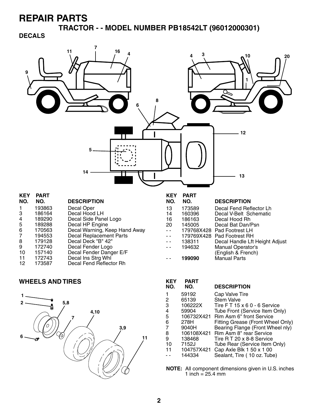**TRACTOR - - MODEL NUMBER PB18542LT (96012000301)** 

#### **DECALS**



#### **WHEELS AND TIRES**



| KEY<br>NO. | PART<br>NO. | <b>DESCRIPTION</b>                  |
|------------|-------------|-------------------------------------|
| 1          | 59192       | Cap Valve Tire                      |
| 2          | 65139       | <b>Stem Valve</b>                   |
| 3          | 106222X     | Tire FT 15 x 6 0 - 6 Service        |
| 4          | 59904       | Tube Front (Service Item Only)      |
| 5          |             | 106732X421 Rim Asm 6" front Service |
| 6          | 278H        | Fitting Grease (Front Wheel Only)   |
| 7          | 9040H       | Bearing Flange (Front Wheel nly)    |
| 8          | 106108X421  | Rim Asm 8" rear Service             |
| 9          | 138468      | Tire R T 20 x 8-8 Service           |
| 10         | 7152J       | Tube Rear (Service Item Only)       |
| 11         | 104757X421  | Cap Axle Blk 1 50 x 1 00            |
|            | 144334      | Sealant, Tire (10 oz. Tube)         |
|            |             |                                     |

**NOTE:** All component dimensions given in U.S. inches 1 inch =  $25.4 \, \text{mm}$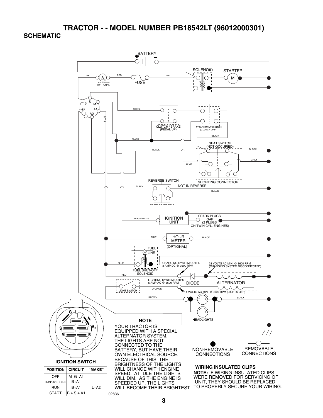**TRACTOR - - MODEL NUMBER PB18542LT (96012000301) SCHEMATIC**

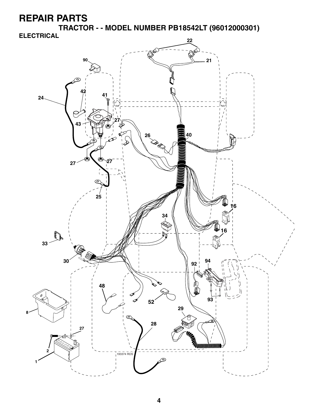**TRACTOR - - MODEL NUMBER PB18542LT (96012000301)** 

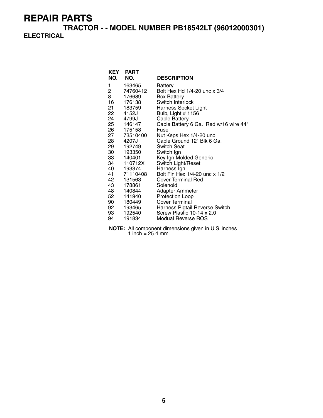**TRACTOR - - MODEL NUMBER PB18542LT (96012000301) ELECTRICAL**

| NO.            | <b>KEY PART</b><br>NO. | <b>DESCRIPTION</b>                    |
|----------------|------------------------|---------------------------------------|
|                |                        |                                       |
| 1              | 163465                 | Battery                               |
| $\overline{c}$ | 74760412               | Bolt Hex Hd 1/4-20 unc x 3/4          |
| 8              | 176689                 | <b>Box Battery</b>                    |
| 16             | 176138                 | Switch Interlock                      |
| 21 —           | 183759                 | Harness Socket Light                  |
| 22             | 4152J                  | Bulb, Light # 1156                    |
| 24             | 4799J                  | <b>Cable Battery</b>                  |
|                | 25 146147              | Cable Battery 6 Ga. Red w/16 wire 44" |
|                | 26 175158              | Fuse                                  |
| 27             | 73510400               | Nut Keps Hex 1/4-20 unc               |
| 28             | 4207J                  | Cable Ground 12" Blk 6 Ga.            |
| 29             | 192749                 | Switch Seat                           |
| 30             | 193350                 | Switch Ign                            |
|                | 33 140401              | Key Ign Molded Generic                |
| 34 —           | 110712X                | Switch Light/Reset                    |
|                | 40 193374              | Harness Ign                           |
|                | 41 71110408            | Bolt Fin Hex 1/4-20 unc x 1/2         |
| 42             | 131563                 | <b>Cover Terminal Red</b>             |
| 43             | 178861                 | Solenoid                              |
| 48             | 140844                 | Adapter Ammeter                       |
| 52             | 141940                 | <b>Protection Loop</b>                |
|                | 90 180449              | Cover Terminal                        |
|                | 92 193465              | Harness Pigtail Reverse Switch        |
| 93 —           | 192540                 | Screw Plastic 10-14 x 2.0             |
| 94             | 191834                 | Modual Reverse ROS                    |

**NOTE:** All component dimensions given in U.S. inches 1 inch = 25.4 mm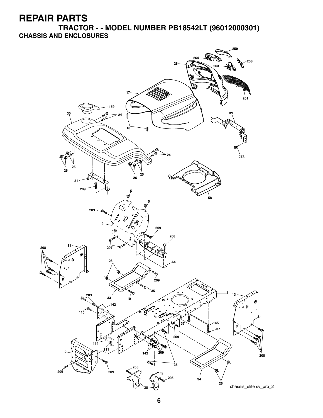**TRACTOR - - MODEL NUMBER PB18542LT (96012000301) CHASSIS AND ENCLOSURES**

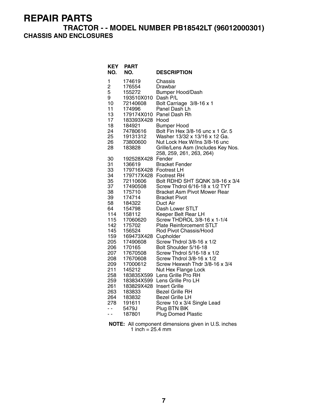#### **TRACTOR - - MODEL NUMBER PB18542LT (96012000301) CHASSIS AND ENCLOSURES**

| <b>KEY</b><br>NO. | <b>PART</b><br>NO.     | <b>DESCRIPTION</b>                                 |
|-------------------|------------------------|----------------------------------------------------|
| 1                 | 174619                 | Chassis                                            |
| $\overline{c}$    | 176554                 | Drawbar                                            |
| 5                 | 155272                 | <b>Bumper Hood/Dash</b>                            |
| 9                 | 193510X010 Dash P/L    |                                                    |
| 10                | 72140608               | Bolt Carriage 3/8-16 x 1                           |
| 11                | 174996                 | Panel Dash Lh                                      |
| 13                | 179174X010             | Panel Dash Rh                                      |
| 17                | 183393X428             | Hood                                               |
| 18                | 184921                 | <b>Bumper Hood</b>                                 |
| 24                | 74780616               | Bolt Fin Hex 3/8-16 unc x 1 Gr. 5                  |
| 25                | 19131312               | Washer 13/32 x 13/16 x 12 Ga.                      |
| 26                | 73800600               | Nut Lock Hex W/Ins 3/8-16 unc                      |
| 28                | 183828                 | Grille/Lens Asm (Includes Key Nos.                 |
|                   |                        | 258, 259, 261, 263, 264)                           |
| 30                | 192528X428             | Fender                                             |
| 31                | 136619                 | <b>Bracket Fender</b>                              |
| 33                | 179716X428 Footrest LH |                                                    |
| 34                | 179717X428 Footrest RH |                                                    |
| 35                | 72110606               | Bolt RDHD SHT SQNK 3/8-16 x 3/4                    |
| 37                | 17490508               | Screw Thdrol 6/16-18 x 1/2 TYT                     |
| 38                | 175710                 | <b>Bracket Asm Pivot Mower Rear</b>                |
| 39                | 174714                 | <b>Bracket Pivot</b>                               |
| 58                | 184322                 | Duct Air                                           |
| 64                | 154798                 | Dash Lower STLT                                    |
| 114<br>115        | 158112<br>17060620     | Keeper Belt Rear LH<br>Screw THDROL 3/8-16 x 1-1/4 |
| 142               | 175702                 | <b>Plate Reinforcement STLT</b>                    |
| 145               | 156524                 | Rod Pivot Chassis/Hood                             |
| 159               | 169473X428             | Cupholder                                          |
| 205               | 17490608               | Screw Thdrol 3/8-16 x 1/2                          |
| 206               | 170165                 | Bolt Shoulder 5/16-18                              |
| 207               | 17670508               | Screw Thdrol 5/16-18 x 1/2                         |
| 208               | 17670608               | Screw Thdrol 3/8-16 x 1/2                          |
| 209               | 17000612               | Screw Hexwsh Thdr 3/8-16 x 3/4                     |
| 211               | 145212                 | Nut Hex Flange Lock                                |
| 258               | 183835X599             | Lens Grille Pro RH                                 |
| 259               | 183834X599             | Lens Grille Pro LH                                 |
| 261               | 183829X428             | <b>Insert Grille</b>                               |
| 263               | 183833                 | <b>Bezel Grille RH</b>                             |
| 264               | 183832                 | <b>Bezel Grille LH</b>                             |
| 278               | 191611                 | Screw 10 x 3/4 Single Lead                         |
| $\sim$ $\sim$     | 5479J                  | Plug BTN BIK                                       |
| - -               | 187801                 | <b>Plug Domed Plastic</b>                          |

**NOTE:** All component dimensions given in U.S. inches 1 inch = 25.4 mm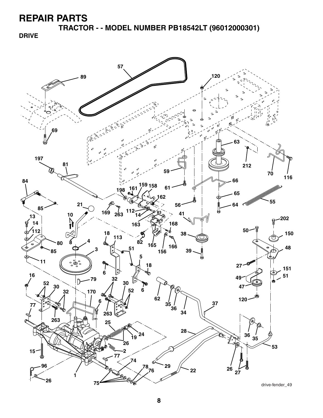**TRACTOR - - MODEL NUMBER PB18542LT (96012000301)** 

**DRIVE**

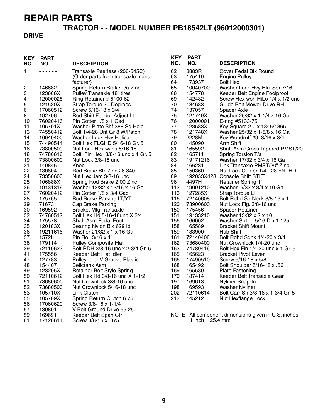# **TRACTOR - - MODEL NUMBER PB18542LT (96012000301)**

#### **DRIVE**

| <b>KEY</b><br>NO. | <b>PART</b><br>NO.   | <b>DESCRIPTION</b>                                                 | <b>KEY</b><br>NO. | <b>PART</b><br>NO.         | <b>DESCRIPTION</b>                                  |
|-------------------|----------------------|--------------------------------------------------------------------|-------------------|----------------------------|-----------------------------------------------------|
| 1.                | 222222               | Transaxle Peerless (206-545C)<br>(Order parts from transaxle manu- | 62<br>63          | 8883R<br>175410            | Cover Pedal Blk Round<br><b>Engine Pulley</b>       |
|                   |                      | facturer)                                                          | 64                | 173937                     | <b>Bolt Hex</b>                                     |
| 2                 | 146682               | Spring Return Brake T/a Zinc                                       | 65                | 10040700                   | Washer Lock Hvy Hlcl Spr 7/16                       |
| 3                 | 123666X              | Pulley Transaxle 18" tires                                         | 66                | 154778                     | Keeper Belt Engine Foolproof                        |
| 4                 | 12000028             | Ring Retainer # 5100-62                                            | 69                | 142432                     | Screw Hex wsh HiLo 1/4 x 1/2 unc                    |
| 5                 | 121520X              | Strap Torque 30 Degrees                                            | 70                | 134683                     | Guide Belt Mower Drive RH                           |
| $\,6$             | 17060512             | Screw 5/16-18 x 3/4                                                | 74                | 137057                     | Spacer Axle                                         |
| $\bf8$<br>10      | 192706<br>76020416   | Rod Shift Fender Adjust Lt                                         | 75<br>76          | 121749X<br>12000001        | Washer 25/32 x 1-1/4 x 16 Ga                        |
| 11                | 105701X              | Pin Cotter 1/8 x 1 Cad<br>Washer Plate Shf 388 Sq Hole             | 77                | 123583X                    | E-ring #5133-75<br>Key Square 2 0 x 1845/1865       |
| 13                | 74550412             | Bolt 1/4-28 Unf Gr 8 W/Patch                                       | 78                | 121748X                    | Washer 25/32 x 1-5/8 x 16 Ga                        |
| 14                | 10040400             | Washer Lock Hvy Helical                                            | 79                | 2228M                      | Key Woodruff #9 3/16 x 3/4                          |
| 15                | 74490544             | Bolt Hex FLGHD 5/16-18 Gr. 5                                       | 80                | 145090                     | Arm Shift                                           |
| 16                | 73800500             | Nut Lock Hex w/ins 5/16-18                                         | 81                | 165592                     | Shaft Asm Cross Tapered PMST/20                     |
| 18                | 74780616             | Bolt, Fin Hex 3/8-16 unc x 1 Gr. 5                                 | 82                | 165711                     | Spring Torsion T/a                                  |
| 19                | 73800600             | Nut Lock 3/8-16 unc                                                | 83                | 19171216                   | Washer 17/32 x 3/4 x 16 Ga                          |
| 21                | 140845               | Knob                                                               | 84                | 166231                     | Link Transaxle PMST/20" Zinc                        |
| 22                | 130804               | Rod Brake Blk Zinc 26 840                                          | 85                | 150360                     | Nut Lock Center 1/4 - 28 FNTHD                      |
| 24                | 73350600             | Nut Hex Jam 3/8-16 unc                                             | 89                |                            | 192053X428 Console Shift STLT                       |
| 25                | 106888X              | Spring Rod Brake 2 00 Zinc                                         | 96                | 4497H                      | Retainer Spring 1"                                  |
| 26<br>27          | 19131316<br>76020412 | Washer 13/32 x 13/16 x 16 Ga.<br>Pin Cotter 1/8 x 3/4 Cad          | 112<br>113        | 19091210                   | Washer 9/32 x 3/4 x 10 Ga.                          |
| 28                | 175765               | Rod Brake Parking LT/YT                                            | 116               | 127285X<br>72140608        | Strap Torque LT<br>Bolt Rdhd Sq Neck 3/8-16 x 1     |
| 29                | 71673                | Cap Brake Parking                                                  | 120               | 73900600                   | Nut Lock Flg. 3/8-16 unc                            |
| 30                | 169592               | <b>Bracket Mtg Transaxle</b>                                       | 150               | 175456                     | <b>Spacer Retainer</b>                              |
| 32                | 74760512             | Bolt Hex Hd 5/16-18unc X 3/4                                       | 151               | 19133210                   | Washer 13/32 x 2 x 10                               |
| 34                | 175578               | Shaft Asm Pedal Foot                                               | 156               | 166002                     | Washer Srrted 5/16ID x 1.125                        |
| 35                | 120183X              | Bearing Nylon Blk 629 Id                                           | 158               | 165589                     | <b>Bracket Shift Mount</b>                          |
| 36                | 19211616             | Washer 21/32 x 1 x 16 Ga.                                          | 159               | 183900                     | Hub Shift                                           |
| 37                | 1572H                | Pin Roll 3/16 x 1"                                                 | 161               | 72140406                   | Bolt Rdhd Sqnk 1/4-20 x 3/4                         |
| 38                | 179114               | <b>Pulley Composite Flat</b>                                       | 162               | 73680400                   | Nut Crownlock 1/4-20 unc                            |
| 39                | 72110622             | Bolt RDH 3/8-16 unc x 2-3/4 Gr. 5                                  | 163               | 74780416                   | Bolt Hex Fin 1/4-20 unc x 1 Gr. 5                   |
| 41                | 175556               | Keeper Belt Flat Idler                                             | 165               | 165623                     | <b>Bracket Pivot Lever</b>                          |
| 47<br>48          | 127783<br>154407     | Pulley Idler V Groove Plastic<br><b>Bellcrank Asm</b>              | 166<br>168        | 17490510<br>165492         | Screw 5/16-18 x 5/8<br>Bolt Shoulder 5/16-18 x .561 |
| 49                | 123205X              | Retainer Belt Style Spring                                         | 169               | 165580                     | <b>Plate Fastening</b>                              |
| 50                | 72110612             | Bolt Hex Hd 3/8-16 unc X 1-1/2                                     | 170               | 187414                     | Keeper Belt Transaxle Gear                          |
| 51                | 73680600             | Nut Crownlock 3/8-16 unc                                           | 197               | 169613                     | Nyliner Snap-In                                     |
| 52                | 73680500             | Nut Crownlock 5/16-18 unc                                          | 198               | 169593                     | <b>Washer Nyliner</b>                               |
| 53                | 105710X              | Link Clutch                                                        | 202               | 72110614                   | Bolt Carr Sh 3/8-16 x 1-3/4 Gr. 5                   |
| 55                | 105709X              | Spring Return Clutch 6 75                                          | 212               | 145212                     | Nut Hexflange Lock                                  |
| 56                | 17060620             | Screw 3/8-16 x 1-1/4                                               |                   |                            |                                                     |
| 57                | 130801               | V-Belt Ground Drive 95 25                                          |                   |                            |                                                     |
| 59                | 169691               | Keeper Belt Span Ctr                                               |                   |                            | NOTE: All component dimensions given in U.S. inches |
| 61                | 17120614             | Screw 3/8-16 x .875                                                |                   | 1 inch = $25.4 \text{ mm}$ |                                                     |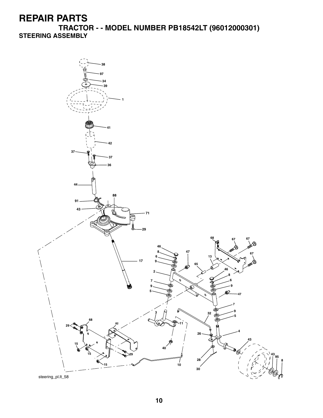**TRACTOR - - MODEL NUMBER PB18542LT (96012000301) STEERING ASSEMBLY**

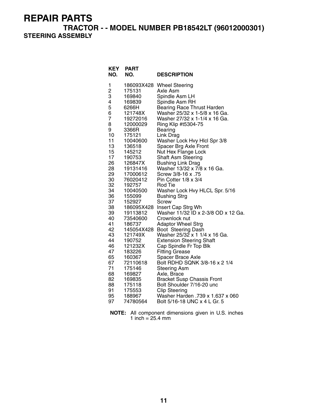**TRACTOR - - MODEL NUMBER PB18542LT (96012000301)** 

**STEERING ASSEMBLY**

| <b>KEY</b><br>NO. | <b>PART</b><br>NO. | <b>DESCRIPTION</b>                              |
|-------------------|--------------------|-------------------------------------------------|
| 1                 |                    | 186093X428 Wheel Steering                       |
| 2                 | 175131             | Axle Asm                                        |
| 3                 | 169840             | Spindle Asm LH                                  |
| 4                 | 169839             | Spindle Asm RH                                  |
| 5                 | 6266H              | <b>Bearing Race Thrust Harden</b>               |
| 6                 | 121748X            | Washer 25/32 x 1-5/8 x 16 Ga.                   |
| 7                 | 19272016           | Washer 27/32 x 1-1/4 x 16 Ga.                   |
| 8                 | 12000029           | Ring Klip #t5304-75                             |
| 9<br>10           | 3366R              | Bearing                                         |
| 11                | 175121<br>10040600 | Link Drag<br>Washer Lock Hvy Hicl Spr 3/8       |
| 13                | 136518             | Spacer Brg Axle Front                           |
| 15                | 145212             | Nut Hex Flange Lock                             |
| 17                | 190753             | <b>Shaft Asm Steering</b>                       |
| 26                | 126847X            | Bushing Link Drag                               |
| 28                | 19131416           | Washer 13/32 x 7/8 x 16 Ga.                     |
| 29                | 17000612           | Screw 3/8-16 x .75                              |
| 30                | 76020412           | Pin Cotter 1/8 x 3/4                            |
| 32                | 192757             | Rod Tie                                         |
| 34                | 10040500           | Washer Lock Hvy HLCL Spr. 5/16                  |
| 36                | 155099             | <b>Bushing Strg</b>                             |
| 37                | 152927             | Screw                                           |
| 38                | 186095X428         | Insert Cap Strg Wh                              |
| 39                | 19113812           | Washer 11/32 ID x 2-3/8 OD x 12 Ga.             |
| 40                | 73540600           | Crownlock nut                                   |
| 41                | 186737             | <b>Adaptor Wheel Strg</b>                       |
| 42                | 145054X428         | Boot Steering Dash                              |
| 43<br>44          | 121749X            | Washer 25/32 x 1 1/4 x 16 Ga.                   |
| 46                | 190752             | <b>Extension Steering Shaft</b>                 |
| 47                | 121232X<br>183226  | Cap Spindle Fr Top Blk<br><b>Fitting Grease</b> |
| 65                | 160367             | Spacer Brace Axle                               |
| 67                | 72110618           | Bolt RDHD SQNK 3/8-16 x 2 1/4                   |
| 71                | 175146             | <b>Steering Asm</b>                             |
| 68                | 169827             | Axle, Brace                                     |
| 82                | 169835             | <b>Bracket Susp Chassis Front</b>               |
| 88                | 175118             | Bolt Shoulder 7/16-20 unc                       |
| 91                | 175553             | <b>Clip Steering</b>                            |
| 95                | 188967             | Washer Harden .739 x 1.637 x 060                |
| 97                | 74780564           | Bolt 5/16-18 UNC x 4 L Gr. 5                    |
|                   |                    |                                                 |

**NOTE:** All component dimensions given in U.S. inches 1 inch = 25.4 mm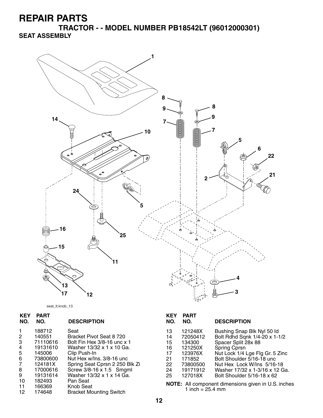**TRACTOR - - MODEL NUMBER PB18542LT (96012000301) SEAT ASSEMBLY**



seat\_lt.knob\_13

| PART<br>NO. | <b>DESCRIPTION</b>             |
|-------------|--------------------------------|
| 188712      | Seat                           |
|             | Bracket Pivot Seat 8 720       |
| 71110616    | Bolt Fin Hex 3/8-16 unc x 1    |
| 19131610    | Washer 13/32 x 1 x 10 Ga.      |
| 145006      | Clip Push-In                   |
| 73800600    | Nut Hex w/Ins. 3/8-16 unc      |
| 124181X     | Spring Seat Cprsn 2 250 Blk Zi |
| 17000616    | Screw 3/8-16 x 1.5 Smgml       |
| 19131614    | Washer 13/32 x 1 x 14 Ga.      |
| 182493      | Pan Seat                       |
| 166369      | <b>Knob Seat</b>               |
| 174648      | <b>Bracket Mounting Switch</b> |
|             | 140551                         |

| KEY<br>NO.                                         | <b>PART</b><br>NO.                                                                               | <b>DESCRIPTION</b>                                                                                                                                                                                                                                                      |
|----------------------------------------------------|--------------------------------------------------------------------------------------------------|-------------------------------------------------------------------------------------------------------------------------------------------------------------------------------------------------------------------------------------------------------------------------|
| 13<br>14<br>15<br>16<br>17<br>21<br>22<br>24<br>25 | 121248X<br>72050412<br>134300<br>121250X<br>123976X<br>171852<br>73800500<br>19171912<br>127018X | Bushing Snap Blk Nyl 50 ld<br>Bolt Rdhd Sqnk 1/4-20 x 1-1/2<br>Spacer Split 28x 88<br><b>Spring Cprsn</b><br>Nut Lock 1/4 Lge Flg Gr. 5 Zinc<br>Bolt Shoulder 5/16-18 unc<br>Nut Hex Lock W/Ins 5/16-18<br>Washer 17/32 x 1-3/16 x 12 Ga.<br>Bolt Shoulder 5/16-18 x 62 |
| .                                                  |                                                                                                  |                                                                                                                                                                                                                                                                         |

**NOTE:** All component dimensions given in U.S. inches 1 inch  $= 25.4$  mm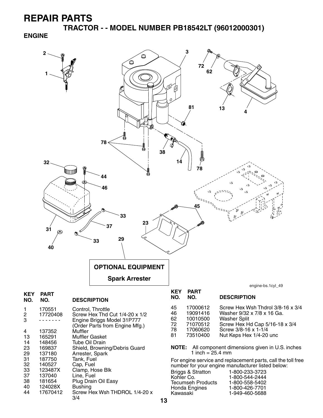**TRACTOR - - MODEL NUMBER PB18542LT (96012000301) ENGINE**

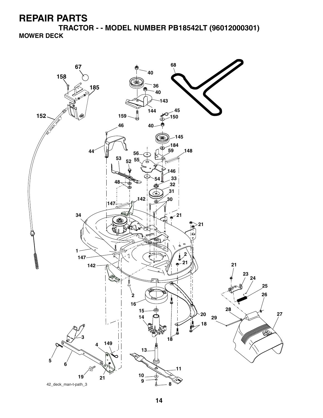**TRACTOR - - MODEL NUMBER PB18542LT (96012000301) MOWER DECK**

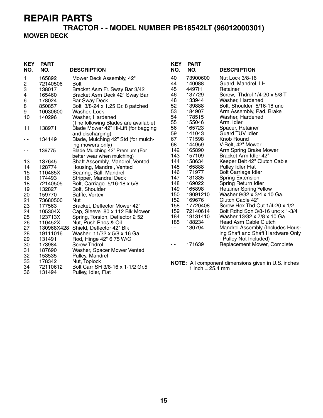36 131494 Pulley, Idler, Flat

#### **TRACTOR - - MODEL NUMBER PB18542LT (96012000301) MOWER DECK**

| <b>KEY</b>    | <b>PART</b>        |                                                     | <b>KEY</b> | <b>PART</b>                |                                                            |
|---------------|--------------------|-----------------------------------------------------|------------|----------------------------|------------------------------------------------------------|
| NO.           | NO.                | <b>DESCRIPTION</b>                                  | NO.        | NO.                        | <b>DESCRIPTION</b>                                         |
| 1             | 165892             | Mower Deck Assembly, 42"                            | 40         | 73900600                   | Nut Lock 3/8-16                                            |
| 2             | 72140506           | <b>Bolt</b>                                         | 44         | 140088                     | Guard, Mandrel, LH                                         |
| 3             | 138017             | Bracket Asm Fr. Sway Bar 3/42                       | 45         | 4497H                      | Retainer                                                   |
| 4             | 165460             | Bracket Asm Deck 42" Sway Bar                       | 46         | 137729                     | Screw, Thdrol 1/4-20 x 5/8 T                               |
| 6             | 178024             | <b>Bar Sway Deck</b>                                | 48         | 133944                     | Washer, Hardened                                           |
| 8             | 850857             | Bolt 3/8-24 x 1.25 Gr. 8 patched                    | 52         | 139888                     | Bolt, Shoulder 5/16-18 unc                                 |
| 9             | 10030600           | Washer, Lock                                        | 53         | 184907                     | Arm Assembly, Pad, Brake                                   |
| 10            | 140296             | Washer, Hardened                                    | 54         | 178515                     | Washer, Hardened                                           |
|               |                    | (The following Blades are available)                | 55         | 155046                     | Arm, Idler                                                 |
| 11            | 138971             | Blade Mower 42" Hi-Lift (for bagging                | 56         | 165723                     | Spacer, Retainer                                           |
|               |                    | and discharging)                                    | 59         | 141043                     | <b>Guard TUV Idler</b>                                     |
| $\sim$ $\sim$ | 134149             | Blade, Mulching 42" Std (for mulch-                 | 67         | 171598                     | Knob Round                                                 |
|               |                    | ing mowers only)                                    | 68         | 144959                     | V-Belt, 42" Mower                                          |
| $ -$          | 139775             | Blade Mulching 42" Premium (For                     | 142        | 165890                     | Arm Spring Brake Mower                                     |
|               |                    | better wear when mulching)                          | 143        | 157109                     | Bracket Arm Idler 42"                                      |
| 13            | 137645             | Shaft Assembly, Mandrel, Vented                     | 144        | 158634                     | Keeper Belt 42" Clutch Cable                               |
| 14            | 128774             | Housing, Mandrel, Vented                            | 145        | 165888                     | <b>Pulley Idler Flat</b>                                   |
| 15            | 110485X            | Bearing, Ball, Mandrel                              | 146        | 171977                     | <b>Bolt Carriage Idler</b>                                 |
| 16            | 174493             | Stripper, Mandrel Deck                              | 147        | 131335                     | <b>Spring Extension</b>                                    |
| 18            | 72140505           | Bolt, Carriage 5/16-18 x 5/8                        | 148        | 169022                     | Spring Return Idler                                        |
| 19            | 132827             | Bolt, Shoulder                                      | 149        | 165898                     | <b>Retainer Spring Yellow</b>                              |
| 20            | 159770             | Baffle, Vortex                                      | 150        | 19091210                   | Washer 9/32 x 3/4 x 10 Ga.                                 |
| 21            | 73680500           | Nut                                                 | 152        | 169676                     | Clutch Cable 42"                                           |
| 23            | 177563             | Bracket, Deflector Mower 42"                        | 158        | 17720408                   | Screw Hex Thd Cut 1/4-20 x 1/2                             |
| 24            | 105304X            | Cap, Sleeve 80 x 112 Blk Mower                      | 159        | 72140614                   | Bolt Rdhd Sqn 3/8-16 unc x 1-3/4                           |
| 25            | 123713X            | Spring, Torsion, Deflector 2 52                     | 184        | 19131410                   | Washer 13/32 x 7/8 x 10 Ga.                                |
| 26            | 110452X            | Nut, Push Phos & Oil                                | 185        | 188234                     | Head Asm Cable Clutch                                      |
| 27            | 130968X428         | Shield, Deflector 42" Blk                           | $ -$       | 130794                     | Mandrel Assembly (Includes Hous-                           |
| 28            | 19111016           | Washer 11/32 x 5/8 x 16 Ga.                         |            |                            | ing Shaft and Shaft Hardware Only                          |
| 29            | 131491             | Rod, Hinge 42" 6 75 W/G                             |            |                            | - Pulley Not Included)                                     |
| 30            | 173984             | <b>Screw Thdrol</b>                                 | - -        | 171639                     | Replacement Mower, Complete                                |
| 31            | 187690             | Washer, Spacer Mower Vented                         |            |                            |                                                            |
| 32            | 153535             | Pulley, Mandrel                                     |            |                            |                                                            |
| 33            | 178342             | Nut, Toplock                                        |            |                            | <b>NOTE:</b> All component dimensions given in U.S. inches |
| 34<br>OC.     | 72110612<br>101101 | Bolt Carr SH 3/8-16 x 1-1/2 Gr.5<br>$DU$ ldlar Elat |            | 1 inch = $25.4 \text{ mm}$ |                                                            |